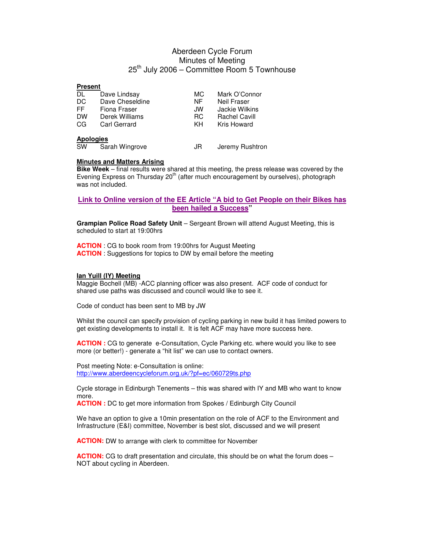# Aberdeen Cycle Forum Minutes of Meeting  $25<sup>th</sup>$  July 2006 – Committee Room 5 Townhouse

## **Present**

| DL               | Dave Lindsay    | МC        | Mark O'Connor        |
|------------------|-----------------|-----------|----------------------|
| DC               | Dave Cheseldine | NF.       | Neil Fraser          |
| FF.              | Fiona Fraser    | JW        | Jackie Wilkins       |
| <b>DW</b>        | Derek Williams  | <b>RC</b> | <b>Rachel Cavill</b> |
| CG               | Carl Gerrard    | KH.       | Kris Howard          |
| <b>Apologies</b> |                 |           |                      |
| SW               | Sarah Wingrove  | JR        | Jeremy Rushtron      |

#### **Minutes and Matters Arising**

**Bike Week** – final results were shared at this meeting, the press release was covered by the Evening Express on Thursday 20<sup>th</sup> (after much encouragement by ourselves), photograph was not included.

# **Link to Online version of the EE Article "A bid to Get People on their Bikes has been hailed a Success"**

**Grampian Police Road Safety Unit** – Sergeant Brown will attend August Meeting, this is scheduled to start at 19:00hrs

**ACTION** : CG to book room from 19:00hrs for August Meeting **ACTION**: Suggestions for topics to DW by email before the meeting

#### **Ian Yuill (IY) Meeting**

Maggie Bochell (MB) -ACC planning officer was also present. ACF code of conduct for shared use paths was discussed and council would like to see it.

Code of conduct has been sent to MB by JW

Whilst the council can specify provision of cycling parking in new build it has limited powers to get existing developments to install it. It is felt ACF may have more success here.

**ACTION :** CG to generate e-Consultation, Cycle Parking etc. where would you like to see more (or better!) - generate a "hit list" we can use to contact owners.

Post meeting Note: e-Consultation is online: http://www.aberdeencycleforum.org.uk/?pf=ec/060729ts.php

Cycle storage in Edinburgh Tenements – this was shared with IY and MB who want to know more.

**ACTION :** DC to get more information from Spokes / Edinburgh City Council

We have an option to give a 10min presentation on the role of ACF to the Environment and Infrastructure (E&I) committee, November is best slot, discussed and we will present

**ACTION:** DW to arrange with clerk to committee for November

**ACTION:** CG to draft presentation and circulate, this should be on what the forum does – NOT about cycling in Aberdeen.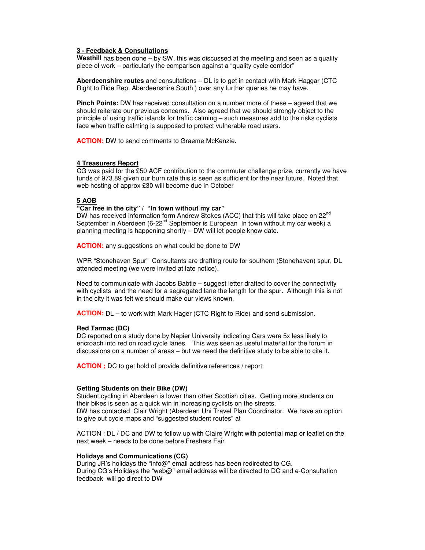## **3 - Feedback & Consultations**

**Westhill** has been done – by SW, this was discussed at the meeting and seen as a quality piece of work – particularly the comparison against a "quality cycle corridor"

**Aberdeenshire routes** and consultations – DL is to get in contact with Mark Haggar (CTC Right to Ride Rep, Aberdeenshire South ) over any further queries he may have.

**Pinch Points:** DW has received consultation on a number more of these – agreed that we should reiterate our previous concerns. Also agreed that we should strongly object to the principle of using traffic islands for traffic calming – such measures add to the risks cyclists face when traffic calming is supposed to protect vulnerable road users.

**ACTION:** DW to send comments to Graeme McKenzie.

#### **4 Treasurers Report**

CG was paid for the £50 ACF contribution to the commuter challenge prize, currently we have funds of 973.89 given our burn rate this is seen as sufficient for the near future. Noted that web hosting of approx £30 will become due in October

## **5 AOB**

#### **"Car free in the city" / "In town without my car"**

DW has received information form Andrew Stokes (ACC) that this will take place on 22<sup>nd</sup> September in Aberdeen (6-22<sup>nd</sup> September is European In town without my car week) a planning meeting is happening shortly – DW will let people know date.

**ACTION:** any suggestions on what could be done to DW

WPR "Stonehaven Spur" Consultants are drafting route for southern (Stonehaven) spur, DL attended meeting (we were invited at late notice).

Need to communicate with Jacobs Babtie – suggest letter drafted to cover the connectivity with cyclists and the need for a segregated lane the length for the spur. Although this is not in the city it was felt we should make our views known.

**ACTION:** DL – to work with Mark Hager (CTC Right to Ride) and send submission.

#### **Red Tarmac (DC)**

DC reported on a study done by Napier University indicating Cars were 5x less likely to encroach into red on road cycle lanes. This was seen as useful material for the forum in discussions on a number of areas – but we need the definitive study to be able to cite it.

**ACTION**; DC to get hold of provide definitive references / report

#### **Getting Students on their Bike (DW)**

Student cycling in Aberdeen is lower than other Scottish cities. Getting more students on their bikes is seen as a quick win in increasing cyclists on the streets. DW has contacted Clair Wright (Aberdeen Uni Travel Plan Coordinator. We have an option to give out cycle maps and "suggested student routes" at

ACTION : DL / DC and DW to follow up with Claire Wright with potential map or leaflet on the next week – needs to be done before Freshers Fair

#### **Holidays and Communications (CG)**

During JR's holidays the "info@" email address has been redirected to CG. During CG's Holidays the "web@" email address will be directed to DC and e-Consultation feedback will go direct to DW